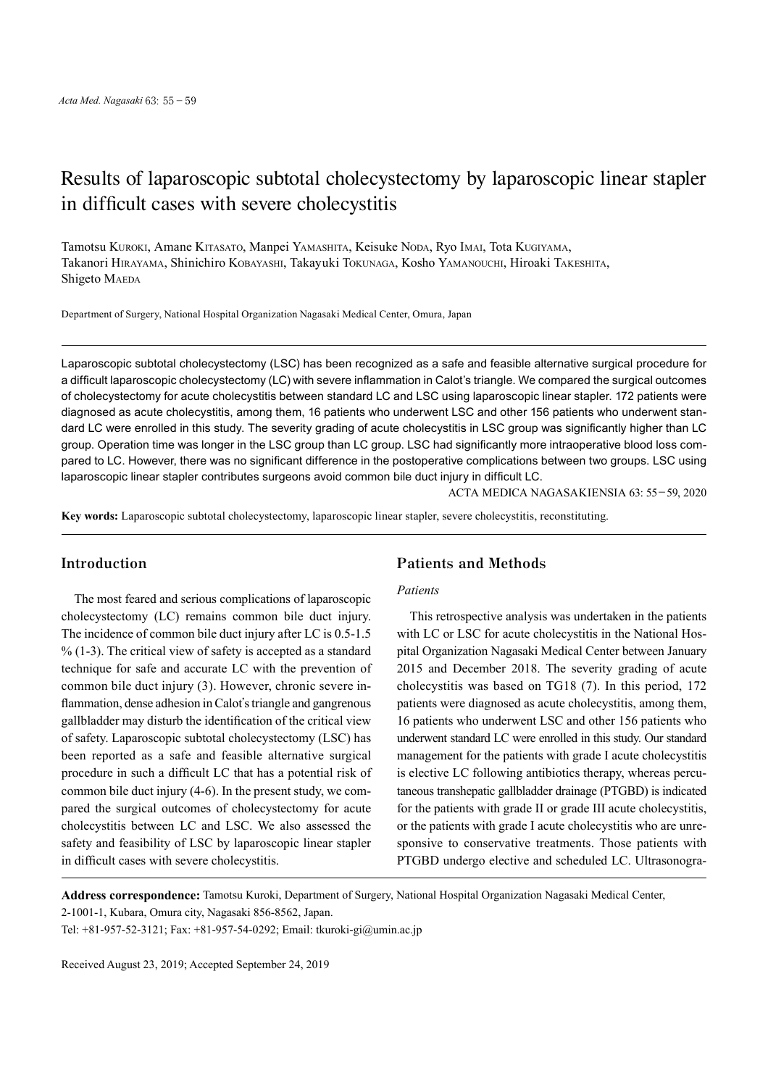# Results of laparoscopic subtotal cholecystectomy by laparoscopic linear stapler in difficult cases with severe cholecystitis

Tamotsu Kuroki, Amane Kitasato, Manpei Yamashita, Keisuke Noda, Ryo Imai, Tota Kugiyama, Takanori Hirayama, Shinichiro Kobayashi, Takayuki Tokunaga, Kosho Yamanouchi, Hiroaki Takeshita, Shigeto MAEDA

Department of Surgery, National Hospital Organization Nagasaki Medical Center, Omura, Japan

Laparoscopic subtotal cholecystectomy (LSC) has been recognized as a safe and feasible alternative surgical procedure for a difficult laparoscopic cholecystectomy (LC) with severe inflammation in Calot's triangle. We compared the surgical outcomes of cholecystectomy for acute cholecystitis between standard LC and LSC using laparoscopic linear stapler. 172 patients were diagnosed as acute cholecystitis, among them, 16 patients who underwent LSC and other 156 patients who underwent standard LC were enrolled in this study. The severity grading of acute cholecystitis in LSC group was significantly higher than LC group. Operation time was longer in the LSC group than LC group. LSC had significantly more intraoperative blood loss compared to LC. However, there was no significant difference in the postoperative complications between two groups. LSC using laparoscopic linear stapler contributes surgeons avoid common bile duct injury in difficult LC.

ACTA MEDICA NAGASAKIENSIA 63: 55−59, 2020

**Key words:** Laparoscopic subtotal cholecystectomy, laparoscopic linear stapler, severe cholecystitis, reconstituting.

## **Introduction**

The most feared and serious complications of laparoscopic cholecystectomy (LC) remains common bile duct injury. The incidence of common bile duct injury after LC is 0.5-1.5  $\%$  (1-3). The critical view of safety is accepted as a standard technique for safe and accurate LC with the prevention of common bile duct injury (3). However, chronic severe inflammation, dense adhesion in Calot's triangle and gangrenous gallbladder may disturb the identification of the critical view of safety. Laparoscopic subtotal cholecystectomy (LSC) has been reported as a safe and feasible alternative surgical procedure in such a difficult LC that has a potential risk of common bile duct injury (4-6). In the present study, we compared the surgical outcomes of cholecystectomy for acute cholecystitis between LC and LSC. We also assessed the safety and feasibility of LSC by laparoscopic linear stapler in difficult cases with severe cholecystitis.

## **Patients and Methods**

### *Patients*

This retrospective analysis was undertaken in the patients with LC or LSC for acute cholecystitis in the National Hospital Organization Nagasaki Medical Center between January 2015 and December 2018. The severity grading of acute cholecystitis was based on TG18 (7). In this period, 172 patients were diagnosed as acute cholecystitis, among them, 16 patients who underwent LSC and other 156 patients who underwent standard LC were enrolled in this study. Our standard management for the patients with grade I acute cholecystitis is elective LC following antibiotics therapy, whereas percutaneous transhepatic gallbladder drainage (PTGBD) is indicated for the patients with grade II or grade III acute cholecystitis, or the patients with grade I acute cholecystitis who are unresponsive to conservative treatments. Those patients with PTGBD undergo elective and scheduled LC. Ultrasonogra-

**Address correspondence:** Tamotsu Kuroki, Department of Surgery, National Hospital Organization Nagasaki Medical Center,

Tel: +81-957-52-3121; Fax: +81-957-54-0292; Email: tkuroki-gi@umin.ac.jp

Received August 23, 2019; Accepted September 24, 2019

<sup>2-1001-1,</sup> Kubara, Omura city, Nagasaki 856-8562, Japan.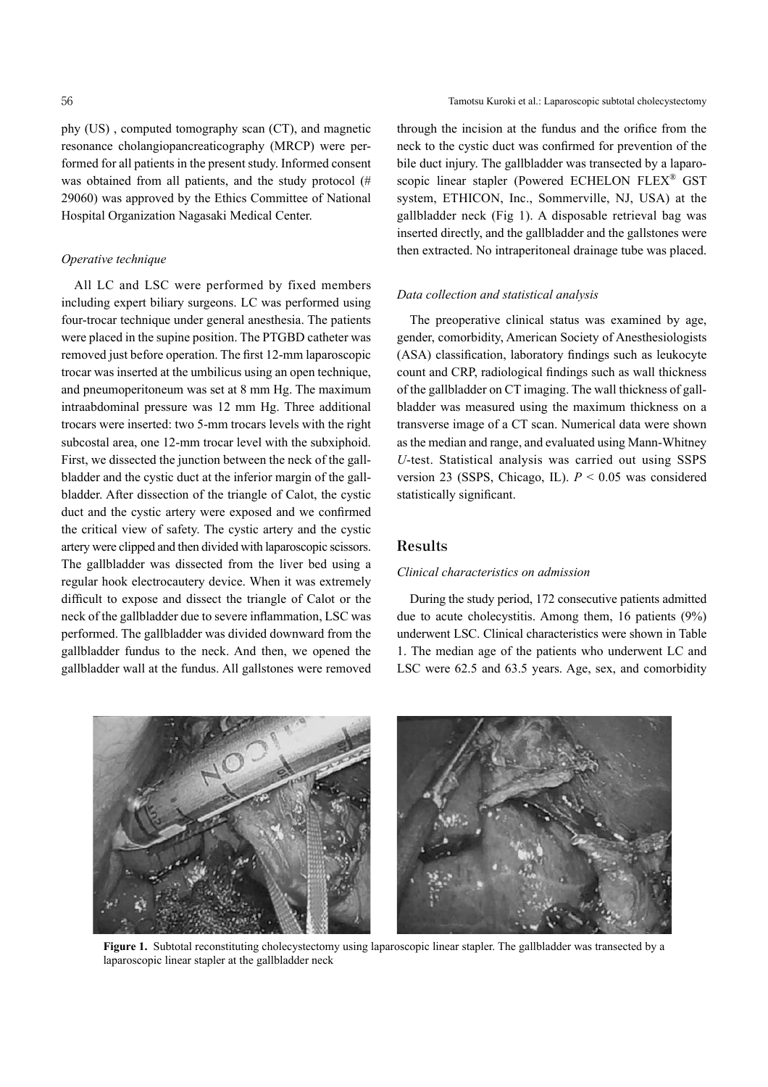phy (US) , computed tomography scan (CT), and magnetic resonance cholangiopancreaticography (MRCP) were performed for all patients in the present study. Informed consent was obtained from all patients, and the study protocol (# 29060) was approved by the Ethics Committee of National Hospital Organization Nagasaki Medical Center.

#### *Operative technique*

All LC and LSC were performed by fixed members including expert biliary surgeons. LC was performed using four-trocar technique under general anesthesia. The patients were placed in the supine position. The PTGBD catheter was removed just before operation. The first 12-mm laparoscopic trocar was inserted at the umbilicus using an open technique, and pneumoperitoneum was set at 8 mm Hg. The maximum intraabdominal pressure was 12 mm Hg. Three additional trocars were inserted: two 5-mm trocars levels with the right subcostal area, one 12-mm trocar level with the subxiphoid. First, we dissected the junction between the neck of the gallbladder and the cystic duct at the inferior margin of the gallbladder. After dissection of the triangle of Calot, the cystic duct and the cystic artery were exposed and we confirmed the critical view of safety. The cystic artery and the cystic artery were clipped and then divided with laparoscopic scissors. The gallbladder was dissected from the liver bed using a regular hook electrocautery device. When it was extremely difficult to expose and dissect the triangle of Calot or the neck of the gallbladder due to severe inflammation, LSC was performed. The gallbladder was divided downward from the gallbladder fundus to the neck. And then, we opened the gallbladder wall at the fundus. All gallstones were removed through the incision at the fundus and the orifice from the neck to the cystic duct was confirmed for prevention of the bile duct injury. The gallbladder was transected by a laparoscopic linear stapler (Powered ECHELON FLEX<sup>®</sup> GST system, ETHICON, Inc., Sommerville, NJ, USA) at the gallbladder neck (Fig 1). A disposable retrieval bag was inserted directly, and the gallbladder and the gallstones were then extracted. No intraperitoneal drainage tube was placed.

## *Data collection and statistical analysis*

The preoperative clinical status was examined by age, gender, comorbidity, American Society of Anesthesiologists (ASA) classification, laboratory findings such as leukocyte count and CRP, radiological findings such as wall thickness of the gallbladder on CT imaging. The wall thickness of gallbladder was measured using the maximum thickness on a transverse image of a CT scan. Numerical data were shown asthe median and range, and evaluated using Mann-Whitney *U*-test. Statistical analysis was carried out using SSPS version 23 (SSPS, Chicago, IL). *P* < 0.05 was considered statistically significant.

## **Results**

#### *Clinical characteristics on admission*

During the study period, 172 consecutive patients admitted due to acute cholecystitis. Among them, 16 patients (9%) underwent LSC. Clinical characteristics were shown in Table 1. The median age of the patients who underwent LC and LSC were 62.5 and 63.5 years. Age, sex, and comorbidity



**Figure 1.** Subtotal reconstituting cholecystectomy using laparoscopic linear stapler. The gallbladder was transected by a laparoscopic linear stapler at the gallbladder neck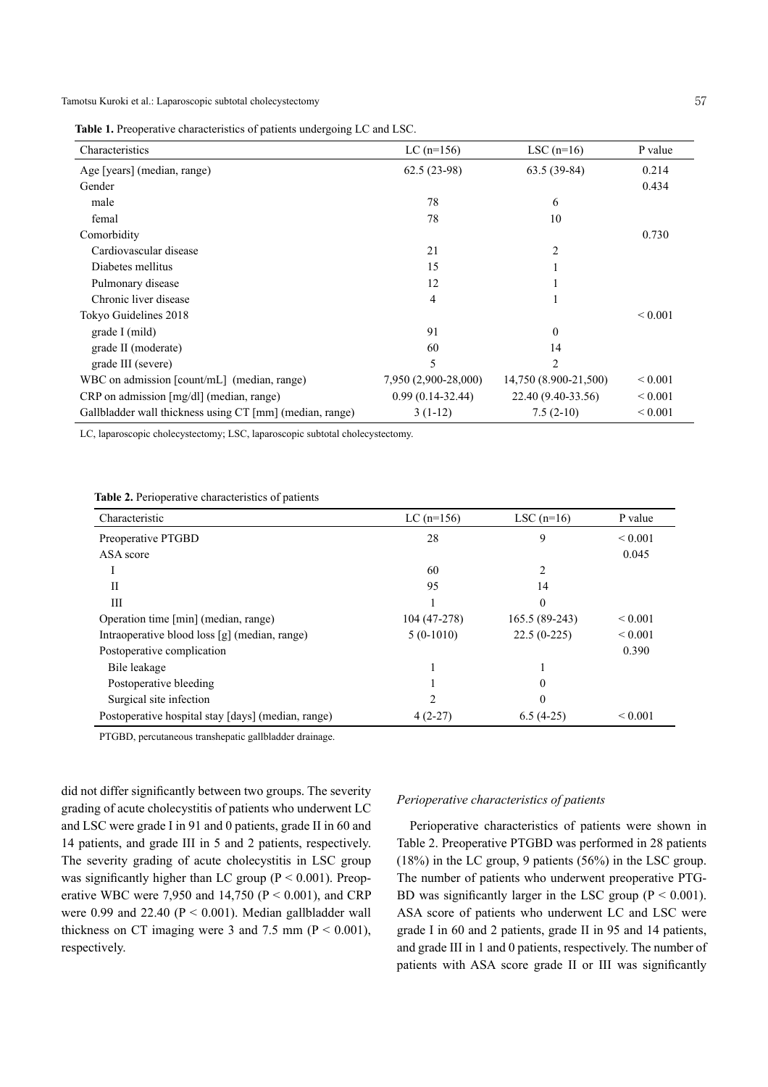Tamotsu Kuroki et al.: Laparoscopic subtotal cholecystectomy 57

**Table 1.** Preoperative characteristics of patients undergoing LC and LSC.

| Characteristics                                          | $LC$ (n=156)         | LSC $(n=16)$          | P value      |
|----------------------------------------------------------|----------------------|-----------------------|--------------|
| Age [years] (median, range)                              | $62.5(23-98)$        | $63.5(39-84)$         | 0.214        |
| Gender                                                   |                      |                       | 0.434        |
| male                                                     | 78                   | 6                     |              |
| femal                                                    | 78                   | 10                    |              |
| Comorbidity                                              |                      |                       | 0.730        |
| Cardiovascular disease                                   | 21                   | 2                     |              |
| Diabetes mellitus                                        | 15                   |                       |              |
| Pulmonary disease                                        | 12                   |                       |              |
| Chronic liver disease                                    | 4                    |                       |              |
| Tokyo Guidelines 2018                                    |                      |                       | ${}_{0.001}$ |
| grade I (mild)                                           | 91                   | $\Omega$              |              |
| grade II (moderate)                                      | 60                   | 14                    |              |
| grade III (severe)                                       | 5                    | 2                     |              |
| WBC on admission [count/mL] (median, range)              | 7,950 (2,900-28,000) | 14,750 (8.900-21,500) | ${}_{0.001}$ |
| $CRP$ on admission $[mg/d]]$ (median, range)             | $0.99(0.14-32.44)$   | 22.40 (9.40-33.56)    | ${}_{0.001}$ |
| Gallbladder wall thickness using CT [mm] (median, range) | $3(1-12)$            | $7.5(2-10)$           | ${}_{0.001}$ |

LC, laparoscopic cholecystectomy; LSC, laparoscopic subtotal cholecystectomy.

**Table 2.** Perioperative characteristics of patients

| Characteristic                                     | $LC$ (n=156) | LSC $(n=16)$   | P value      |
|----------------------------------------------------|--------------|----------------|--------------|
| Preoperative PTGBD                                 | 28           | 9              | ${}_{0.001}$ |
| ASA score                                          |              |                | 0.045        |
|                                                    | 60           |                |              |
| П                                                  | 95           | 14             |              |
| Ш                                                  |              | $\Omega$       |              |
| Operation time [min] (median, range)               | 104 (47-278) | 165.5 (89-243) | ${}_{0.001}$ |
| Intraoperative blood loss [g] (median, range)      | $5(0-1010)$  | $22.5(0-225)$  | ${}_{0.001}$ |
| Postoperative complication                         |              |                | 0.390        |
| Bile leakage                                       |              |                |              |
| Postoperative bleeding                             |              | $\Omega$       |              |
| Surgical site infection                            | 2            | $\Omega$       |              |
| Postoperative hospital stay [days] (median, range) | $4(2-27)$    | $6.5(4-25)$    | ${}_{0.001}$ |

PTGBD, percutaneous transhepatic gallbladder drainage.

did not differ significantly between two groups. The severity grading of acute cholecystitis of patients who underwent LC and LSC were grade I in 91 and 0 patients, grade II in 60 and 14 patients, and grade III in 5 and 2 patients, respectively. The severity grading of acute cholecystitis in LSC group was significantly higher than LC group ( $P \le 0.001$ ). Preoperative WBC were 7,950 and 14,750 ( $P < 0.001$ ), and CRP were 0.99 and 22.40 ( $P < 0.001$ ). Median gallbladder wall thickness on CT imaging were 3 and 7.5 mm ( $P < 0.001$ ), respectively.

#### *Perioperative characteristics of patients*

Perioperative characteristics of patients were shown in Table 2. Preoperative PTGBD was performed in 28 patients (18%) in the LC group, 9 patients (56%) in the LSC group. The number of patients who underwent preoperative PTG-BD was significantly larger in the LSC group ( $P < 0.001$ ). ASA score of patients who underwent LC and LSC were grade I in 60 and 2 patients, grade II in 95 and 14 patients, and grade III in 1 and 0 patients, respectively. The number of patients with ASA score grade II or III was significantly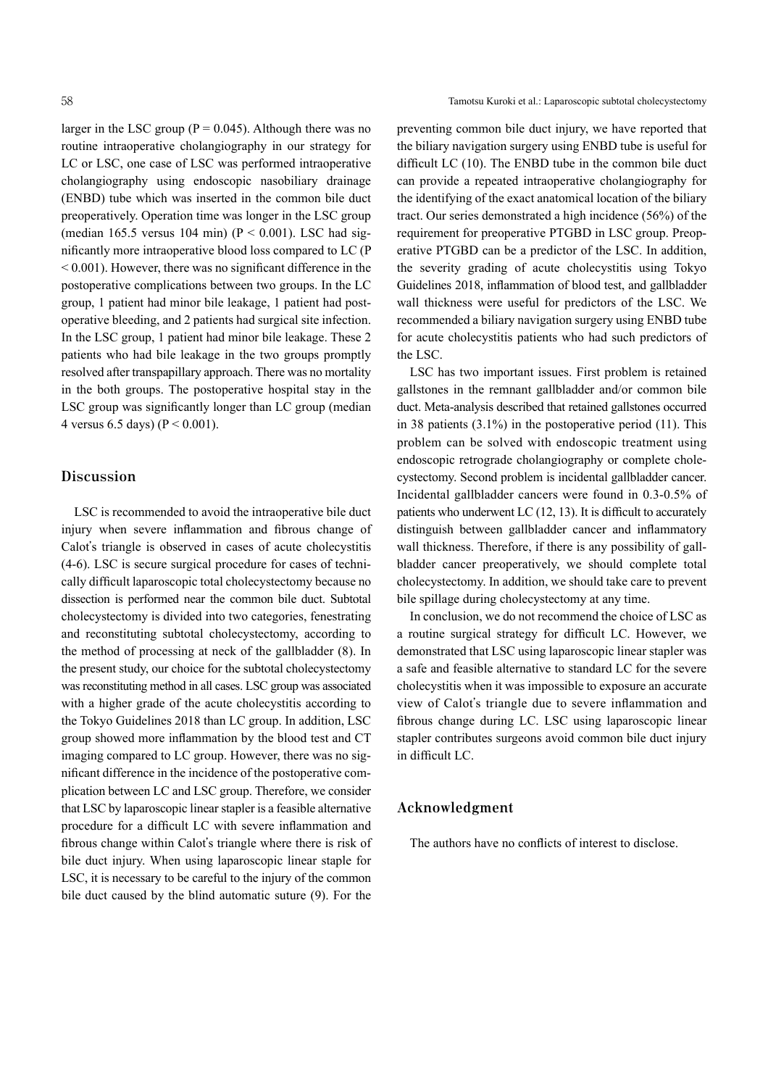larger in the LSC group ( $P = 0.045$ ). Although there was no routine intraoperative cholangiography in our strategy for LC or LSC, one case of LSC was performed intraoperative cholangiography using endoscopic nasobiliary drainage (ENBD) tube which was inserted in the common bile duct preoperatively. Operation time was longer in the LSC group (median 165.5 versus 104 min) ( $P < 0.001$ ). LSC had significantly more intraoperative blood loss compared to LC (P  $\leq 0.001$ ). However, there was no significant difference in the postoperative complications between two groups. In the LC group, 1 patient had minor bile leakage, 1 patient had postoperative bleeding, and 2 patients had surgical site infection. In the LSC group, 1 patient had minor bile leakage. These 2 patients who had bile leakage in the two groups promptly resolved after transpapillary approach. There was no mortality in the both groups. The postoperative hospital stay in the LSC group was significantly longer than LC group (median 4 versus 6.5 days) ( $P < 0.001$ ).

## **Discussion**

LSC is recommended to avoid the intraoperative bile duct injury when severe inflammation and fibrous change of Calot's triangle is observed in cases of acute cholecystitis (4-6). LSC is secure surgical procedure for cases of technically difficult laparoscopic total cholecystectomy because no dissection is performed near the common bile duct. Subtotal cholecystectomy is divided into two categories, fenestrating and reconstituting subtotal cholecystectomy, according to the method of processing at neck of the gallbladder (8). In the present study, our choice for the subtotal cholecystectomy was reconstituting method in all cases. LSC group was associated with a higher grade of the acute cholecystitis according to the Tokyo Guidelines 2018 than LC group. In addition, LSC group showed more inflammation by the blood test and CT imaging compared to LC group. However, there was no significant difference in the incidence of the postoperative complication between LC and LSC group. Therefore, we consider that LSC by laparoscopic linear stapler is a feasible alternative procedure for a difficult LC with severe inflammation and fibrous change within Calot's triangle where there is risk of bile duct injury. When using laparoscopic linear staple for LSC, it is necessary to be careful to the injury of the common bile duct caused by the blind automatic suture (9). For the

preventing common bile duct injury, we have reported that the biliary navigation surgery using ENBD tube is useful for difficult LC (10). The ENBD tube in the common bile duct can provide a repeated intraoperative cholangiography for the identifying of the exact anatomical location of the biliary tract. Our series demonstrated a high incidence (56%) of the requirement for preoperative PTGBD in LSC group. Preoperative PTGBD can be a predictor of the LSC. In addition, the severity grading of acute cholecystitis using Tokyo Guidelines 2018, inflammation of blood test, and gallbladder wall thickness were useful for predictors of the LSC. We recommended a biliary navigation surgery using ENBD tube for acute cholecystitis patients who had such predictors of the LSC.

LSC has two important issues. First problem is retained gallstones in the remnant gallbladder and/or common bile duct. Meta-analysis described that retained gallstones occurred in 38 patients (3.1%) in the postoperative period (11). This problem can be solved with endoscopic treatment using endoscopic retrograde cholangiography or complete cholecystectomy. Second problem is incidental gallbladder cancer. Incidental gallbladder cancers were found in 0.3-0.5% of patients who underwent LC (12, 13). It is difficult to accurately distinguish between gallbladder cancer and inflammatory wall thickness. Therefore, if there is any possibility of gallbladder cancer preoperatively, we should complete total cholecystectomy. In addition, we should take care to prevent bile spillage during cholecystectomy at any time.

In conclusion, we do not recommend the choice of LSC as a routine surgical strategy for difficult LC. However, we demonstrated that LSC using laparoscopic linear stapler was a safe and feasible alternative to standard LC for the severe cholecystitis when it was impossible to exposure an accurate view of Calot's triangle due to severe inflammation and fibrous change during LC. LSC using laparoscopic linear stapler contributes surgeons avoid common bile duct injury in difficult LC.

## **Acknowledgment**

The authors have no conflicts of interest to disclose.